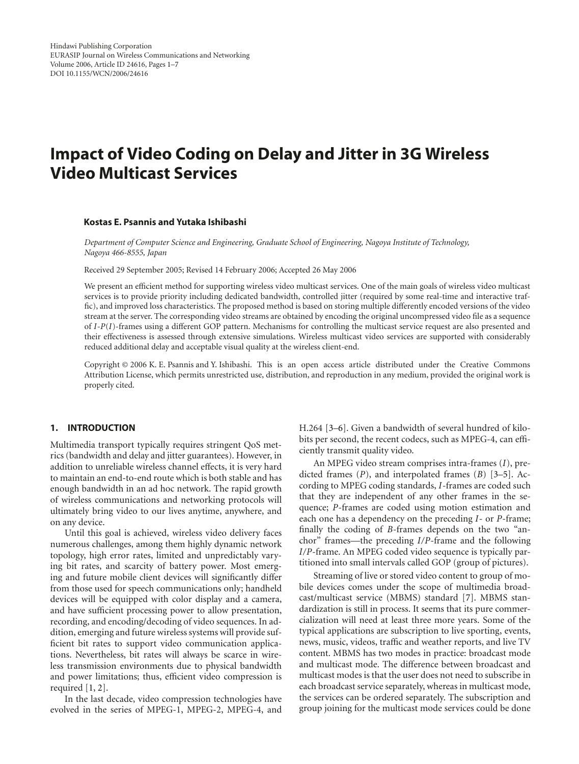# **Impact of Video Coding on Delay and Jitter in 3G Wireless Video Multicast Services**

#### **Kostas E. Psannis and Yutaka Ishibashi**

*Department of Computer Science and Engineering, Graduate School of Engineering, Nagoya Institute of Technology, Nagoya 466-8555, Japan*

Received 29 September 2005; Revised 14 February 2006; Accepted 26 May 2006

We present an efficient method for supporting wireless video multicast services. One of the main goals of wireless video multicast services is to provide priority including dedicated bandwidth, controlled jitter (required by some real-time and interactive traffic), and improved loss characteristics. The proposed method is based on storing multiple differently encoded versions of the video stream at the server. The corresponding video streams are obtained by encoding the original uncompressed video file as a sequence of *I*-*P*(*I*)-frames using a different GOP pattern. Mechanisms for controlling the multicast service request are also presented and their effectiveness is assessed through extensive simulations. Wireless multicast video services are supported with considerably reduced additional delay and acceptable visual quality at the wireless client-end.

Copyright © 2006 K. E. Psannis and Y. Ishibashi. This is an open access article distributed under the Creative Commons Attribution License, which permits unrestricted use, distribution, and reproduction in any medium, provided the original work is properly cited.

#### **1. INTRODUCTION**

Multimedia transport typically requires stringent QoS metrics (bandwidth and delay and jitter guarantees). However, in addition to unreliable wireless channel effects, it is very hard to maintain an end-to-end route which is both stable and has enough bandwidth in an ad hoc network. The rapid growth of wireless communications and networking protocols will ultimately bring video to our lives anytime, anywhere, and on any device.

Until this goal is achieved, wireless video delivery faces numerous challenges, among them highly dynamic network topology, high error rates, limited and unpredictably varying bit rates, and scarcity of battery power. Most emerging and future mobile client devices will significantly differ from those used for speech communications only; handheld devices will be equipped with color display and a camera, and have sufficient processing power to allow presentation, recording, and encoding/decoding of video sequences. In addition, emerging and future wireless systems will provide sufficient bit rates to support video communication applications. Nevertheless, bit rates will always be scarce in wireless transmission environments due to physical bandwidth and power limitations; thus, efficient video compression is required [\[1,](#page-5-1) [2](#page-5-2)].

In the last decade, video compression technologies have evolved in the series of MPEG-1, MPEG-2, MPEG-4, and H.264 [\[3](#page-5-3)[–6](#page-5-4)]. Given a bandwidth of several hundred of kilobits per second, the recent codecs, such as MPEG-4, can efficiently transmit quality video.

An MPEG video stream comprises intra-frames (*I*), predicted frames (*P*), and interpolated frames (*B*) [\[3](#page-5-3)[–5](#page-5-5)]. According to MPEG coding standards, *I*-frames are coded such that they are independent of any other frames in the sequence; *P*-frames are coded using motion estimation and each one has a dependency on the preceding *I*- or *P*-frame; finally the coding of *B*-frames depends on the two "anchor" frames—the preceding *I/P*-frame and the following *I/P*-frame. An MPEG coded video sequence is typically partitioned into small intervals called GOP (group of pictures).

Streaming of live or stored video content to group of mobile devices comes under the scope of multimedia broadcast/multicast service (MBMS) standard [\[7\]](#page-5-6). MBMS standardization is still in process. It seems that its pure commercialization will need at least three more years. Some of the typical applications are subscription to live sporting, events, news, music, videos, traffic and weather reports, and live TV content. MBMS has two modes in practice: broadcast mode and multicast mode. The difference between broadcast and multicast modes is that the user does not need to subscribe in each broadcast service separately, whereas in multicast mode, the services can be ordered separately. The subscription and group joining for the multicast mode services could be done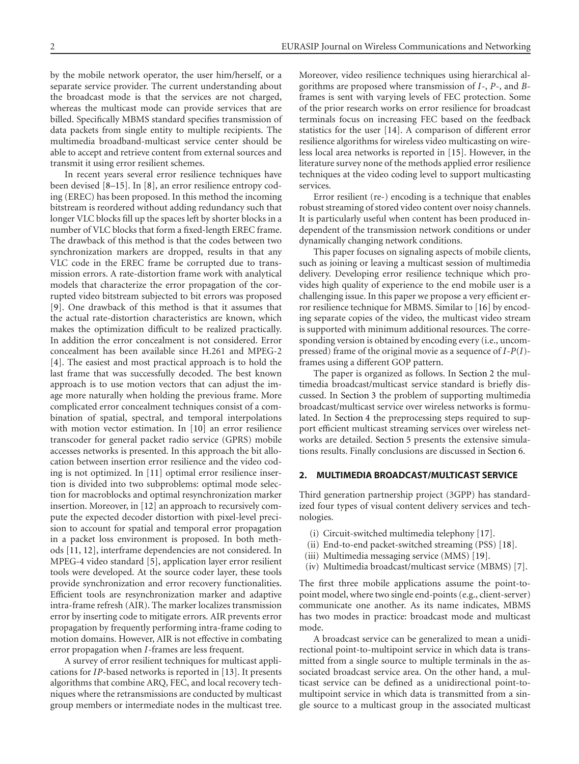by the mobile network operator, the user him/herself, or a separate service provider. The current understanding about the broadcast mode is that the services are not charged, whereas the multicast mode can provide services that are billed. Specifically MBMS standard specifies transmission of data packets from single entity to multiple recipients. The multimedia broadband-multicast service center should be able to accept and retrieve content from external sources and transmit it using error resilient schemes.

In recent years several error resilience techniques have been devised [\[8](#page-5-7)[–15](#page-6-0)]. In [\[8](#page-5-7)], an error resilience entropy coding (EREC) has been proposed. In this method the incoming bitstream is reordered without adding redundancy such that longer VLC blocks fill up the spaces left by shorter blocks in a number of VLC blocks that form a fixed-length EREC frame. The drawback of this method is that the codes between two synchronization markers are dropped, results in that any VLC code in the EREC frame be corrupted due to transmission errors. A rate-distortion frame work with analytical models that characterize the error propagation of the corrupted video bitstream subjected to bit errors was proposed [\[9\]](#page-5-8). One drawback of this method is that it assumes that the actual rate-distortion characteristics are known, which makes the optimization difficult to be realized practically. In addition the error concealment is not considered. Error concealment has been available since H.261 and MPEG-2 [\[4\]](#page-5-9). The easiest and most practical approach is to hold the last frame that was successfully decoded. The best known approach is to use motion vectors that can adjust the image more naturally when holding the previous frame. More complicated error concealment techniques consist of a combination of spatial, spectral, and temporal interpolations with motion vector estimation. In [\[10](#page-5-10)] an error resilience transcoder for general packet radio service (GPRS) mobile accesses networks is presented. In this approach the bit allocation between insertion error resilience and the video coding is not optimized. In [\[11\]](#page-5-11) optimal error resilience insertion is divided into two subproblems: optimal mode selection for macroblocks and optimal resynchronization marker insertion. Moreover, in [\[12\]](#page-5-12) an approach to recursively compute the expected decoder distortion with pixel-level precision to account for spatial and temporal error propagation in a packet loss environment is proposed. In both methods [\[11,](#page-5-11) [12\]](#page-5-12), interframe dependencies are not considered. In MPEG-4 video standard [\[5](#page-5-5)], application layer error resilient tools were developed. At the source coder layer, these tools provide synchronization and error recovery functionalities. Efficient tools are resynchronization marker and adaptive intra-frame refresh (AIR). The marker localizes transmission error by inserting code to mitigate errors. AIR prevents error propagation by frequently performing intra-frame coding to motion domains. However, AIR is not effective in combating error propagation when *I*-frames are less frequent.

A survey of error resilient techniques for multicast applications for *IP*-based networks is reported in [\[13\]](#page-6-1). It presents algorithms that combine ARQ, FEC, and local recovery techniques where the retransmissions are conducted by multicast group members or intermediate nodes in the multicast tree.

Moreover, video resilience techniques using hierarchical algorithms are proposed where transmission of *I*-, *P*-, and *B*frames is sent with varying levels of FEC protection. Some of the prior research works on error resilience for broadcast terminals focus on increasing FEC based on the feedback statistics for the user [\[14](#page-6-2)]. A comparison of different error resilience algorithms for wireless video multicasting on wireless local area networks is reported in [\[15\]](#page-6-0). However, in the literature survey none of the methods applied error resilience techniques at the video coding level to support multicasting services.

Error resilient (re-) encoding is a technique that enables robust streaming of stored video content over noisy channels. It is particularly useful when content has been produced independent of the transmission network conditions or under dynamically changing network conditions.

This paper focuses on signaling aspects of mobile clients, such as joining or leaving a multicast session of multimedia delivery. Developing error resilience technique which provides high quality of experience to the end mobile user is a challenging issue. In this paper we propose a very efficient error resilience technique for MBMS. Similar to [\[16](#page-6-3)] by encoding separate copies of the video, the multicast video stream is supported with minimum additional resources. The corresponding version is obtained by encoding every (i.e., uncompressed) frame of the original movie as a sequence of *I*-*P*(*I*) frames using a different GOP pattern.

The paper is organized as follows. In [Section 2](#page-1-0) the multimedia broadcast/multicast service standard is briefly discussed. In [Section 3](#page-2-0) the problem of supporting multimedia broadcast/multicast service over wireless networks is formulated. In [Section 4](#page-3-0) the preprocessing steps required to support efficient multicast streaming services over wireless networks are detailed. [Section 5](#page-4-0) presents the extensive simulations results. Finally conclusions are discussed in [Section 6.](#page-5-13)

#### <span id="page-1-0"></span>**2. MULTIMEDIA BROADCAST/MULTICAST SERVICE**

Third generation partnership project (3GPP) has standardized four types of visual content delivery services and technologies.

- (i) Circuit-switched multimedia telephony [\[17](#page-6-4)].
- (ii) End-to-end packet-switched streaming (PSS) [\[18](#page-6-5)].
- (iii) Multimedia messaging service (MMS) [\[19](#page-6-6)].
- (iv) Multimedia broadcast/multicast service (MBMS) [\[7\]](#page-5-6).

The first three mobile applications assume the point-topoint model, where two single end-points (e.g., client-server) communicate one another. As its name indicates, MBMS has two modes in practice: broadcast mode and multicast mode.

A broadcast service can be generalized to mean a unidirectional point-to-multipoint service in which data is transmitted from a single source to multiple terminals in the associated broadcast service area. On the other hand, a multicast service can be defined as a unidirectional point-tomultipoint service in which data is transmitted from a single source to a multicast group in the associated multicast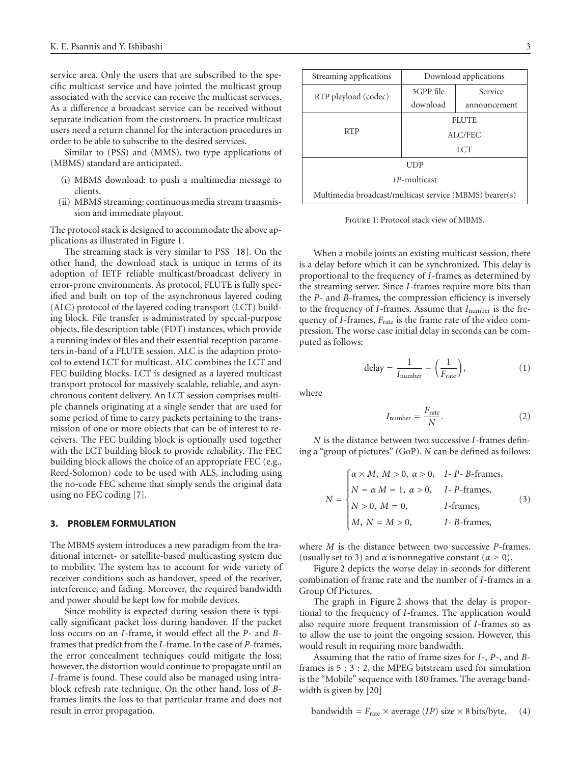service area. Only the users that are subscribed to the specific multicast service and have jointed the multicast group associated with the service can receive the multicast services. As a difference a broadcast service can be received without separate indication from the customers. In practice multicast users need a return channel for the interaction procedures in order to be able to subscribe to the desired services.

Similar to (PSS) and (MMS), two type applications of (MBMS) standard are anticipated.

- (i) MBMS download: to push a multimedia message to clients.
- (ii) MBMS streaming: continuous media stream transmission and immediate playout.

The protocol stack is designed to accommodate the above applications as illustrated in [Figure 1.](#page-2-1)

The streaming stack is very similar to PSS [\[18](#page-6-5)]. On the other hand, the download stack is unique in terms of its adoption of IETF reliable multicast/broadcast delivery in error-prone environments. As protocol, FLUTE is fully specified and built on top of the asynchronous layered coding (ALC) protocol of the layered coding transport (LCT) building block. File transfer is administrated by special-purpose objects, file description table (FDT) instances, which provide a running index of files and their essential reception parameters in-band of a FLUTE session. ALC is the adaption protocol to extend LCT for multicast. ALC combines the LCT and FEC building blocks. LCT is designed as a layered multicast transport protocol for massively scalable, reliable, and asynchronous content delivery. An LCT session comprises multiple channels originating at a single sender that are used for some period of time to carry packets pertaining to the transmission of one or more objects that can be of interest to receivers. The FEC building block is optionally used together with the LCT building block to provide reliability. The FEC building block allows the choice of an appropriate FEC (e.g., Reed-Solomon) code to be used with ALS, including using the no-code FEC scheme that simply sends the original data using no FEC coding [\[7](#page-5-6)].

#### <span id="page-2-0"></span>**3. PROBLEM FORMULATION**

The MBMS system introduces a new paradigm from the traditional internet- or satellite-based multicasting system due to mobility. The system has to account for wide variety of receiver conditions such as handover, speed of the receiver, interference, and fading. Moreover, the required bandwidth and power should be kept low for mobile devices.

Since mobility is expected during session there is typically significant packet loss during handover. If the packet loss occurs on an *I*-frame, it would effect all the *P*- and *B*frames that predict from the *I*-frame. In the case of *P*-frames, the error concealment techniques could mitigate the loss; however, the distortion would continue to propagate until an *I*-frame is found. These could also be managed using intrablock refresh rate technique. On the other hand, loss of *B*frames limits the loss to that particular frame and does not result in error propagation.

| Streaming applications                                  | Download applications |              |
|---------------------------------------------------------|-----------------------|--------------|
| RTP playload (codec)                                    | 3GPP file             | Service      |
|                                                         | download              | announcement |
| <b>RTP</b>                                              | <b>FLUTE</b>          |              |
|                                                         | ALC/FEC               |              |
|                                                         | LCT                   |              |
| UDP                                                     |                       |              |
| <i>IP-multicast</i>                                     |                       |              |
| Multimedia broadcast/multicast service (MBMS) bearer(s) |                       |              |

Figure 1: Protocol stack view of MBMS.

<span id="page-2-1"></span>When a mobile joints an existing multicast session, there is a delay before which it can be synchronized. This delay is proportional to the frequency of *I*-frames as determined by the streaming server. Since *I*-frames require more bits than the *P*- and *B*-frames, the compression efficiency is inversely to the frequency of *I*-frames. Assume that *I*number is the frequency of *I*-frames, *F*rate is the frame rate of the video compression. The worse case initial delay in seconds can be computed as follows:

$$
delay = \frac{1}{I_{\text{number}}} - \left(\frac{1}{F_{\text{rate}}}\right),\tag{1}
$$

where

$$
I_{\text{number}} = \frac{F_{\text{rate}}}{N}.\tag{2}
$$

*N* is the distance between two successive *I*-frames defining a "group of pictures" (GoP). *N* can be defined as follows:

$$
N = \begin{cases} \alpha \times M, M > 0, \alpha > 0, I-P-B-frames, \\ N = \alpha M = 1, \alpha > 0, I-P-frames, \\ N > 0, M = 0, I-frames, \\ M, N = M > 0, I-B-frames, \end{cases}
$$
(3)

where *M* is the distance between two successive *P*-frames. (usually set to 3) and  $\alpha$  is nonnegative constant ( $\alpha \ge 0$ ).

[Figure 2](#page-3-1) depicts the worse delay in seconds for different combination of frame rate and the number of *I*-frames in a Group Of Pictures.

The graph in [Figure 2](#page-3-1) shows that the delay is proportional to the frequency of *I*-frames. The application would also require more frequent transmission of *I*-frames so as to allow the use to joint the ongoing session. However, this would result in requiring more bandwidth.

Assuming that the ratio of frame sizes for *I*-, *P*-, and *B*frames is 5 : 3 : 2, the MPEG bitstream used for simulation is the "Mobile" sequence with 180 frames. The average bandwidth is given by [\[20\]](#page-6-7)

bandwidth = 
$$
F_{\text{rate}} \times \text{average (IP) size} \times 8 \text{ bits/byte},
$$
 (4)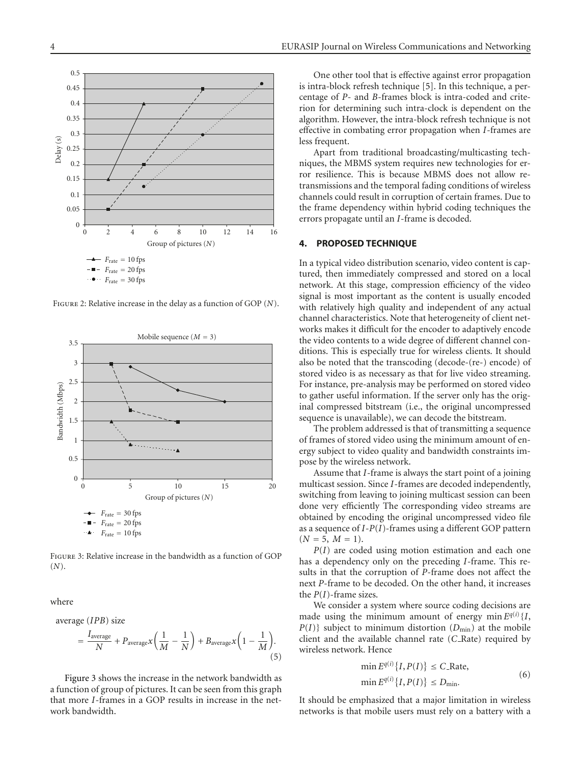

Figure 2: Relative increase in the delay as a function of GOP (*N*).

<span id="page-3-1"></span>

<span id="page-3-2"></span>Figure 3: Relative increase in the bandwidth as a function of GOP (*N*).

where

average (*IPB*) size

$$
= \frac{I_{\text{average}}}{N} + P_{\text{average}} x \left( \frac{1}{M} - \frac{1}{N} \right) + B_{\text{average}} x \left( 1 - \frac{1}{M} \right). \tag{5}
$$

[Figure 3](#page-3-2) shows the increase in the network bandwidth as a function of group of pictures. It can be seen from this graph that more *I*-frames in a GOP results in increase in the network bandwidth.

One other tool that is effective against error propagation is intra-block refresh technique [\[5\]](#page-5-5). In this technique, a percentage of *P*- and *B*-frames block is intra-coded and criterion for determining such intra-clock is dependent on the algorithm. However, the intra-block refresh technique is not effective in combating error propagation when *I*-frames are less frequent.

Apart from traditional broadcasting/multicasting techniques, the MBMS system requires new technologies for error resilience. This is because MBMS does not allow retransmissions and the temporal fading conditions of wireless channels could result in corruption of certain frames. Due to the frame dependency within hybrid coding techniques the errors propagate until an *I*-frame is decoded.

#### <span id="page-3-0"></span>**4. PROPOSED TECHNIQUE**

In a typical video distribution scenario, video content is captured, then immediately compressed and stored on a local network. At this stage, compression efficiency of the video signal is most important as the content is usually encoded with relatively high quality and independent of any actual channel characteristics. Note that heterogeneity of client networks makes it difficult for the encoder to adaptively encode the video contents to a wide degree of different channel conditions. This is especially true for wireless clients. It should also be noted that the transcoding (decode-(re-) encode) of stored video is as necessary as that for live video streaming. For instance, pre-analysis may be performed on stored video to gather useful information. If the server only has the original compressed bitstream (i.e., the original uncompressed sequence is unavailable), we can decode the bitstream.

The problem addressed is that of transmitting a sequence of frames of stored video using the minimum amount of energy subject to video quality and bandwidth constraints impose by the wireless network.

Assume that *I*-frame is always the start point of a joining multicast session. Since *I*-frames are decoded independently, switching from leaving to joining multicast session can been done very efficiently The corresponding video streams are obtained by encoding the original uncompressed video file as a sequence of *I*-*P*(*I*)-frames using a different GOP pattern  $(N = 5, M = 1).$ 

*P*(*I*) are coded using motion estimation and each one has a dependency only on the preceding *I*-frame. This results in that the corruption of *P*-frame does not affect the next *P*-frame to be decoded. On the other hand, it increases the *P*(*I*)-frame sizes.

We consider a system where source coding decisions are made using the minimum amount of energy min  $E^{q(i)}\{I,$  $P(I)$ } subject to minimum distortion ( $D_{\text{min}}$ ) at the mobile client and the available channel rate (*C* Rate) required by wireless network. Hence

$$
\min E^{q(i)}\{I, P(I)\} \le C_R \text{.}.
$$
\n
$$
\min E^{q(i)}\{I, P(I)\} \le D_{\min}.
$$
\n(6)

It should be emphasized that a major limitation in wireless networks is that mobile users must rely on a battery with a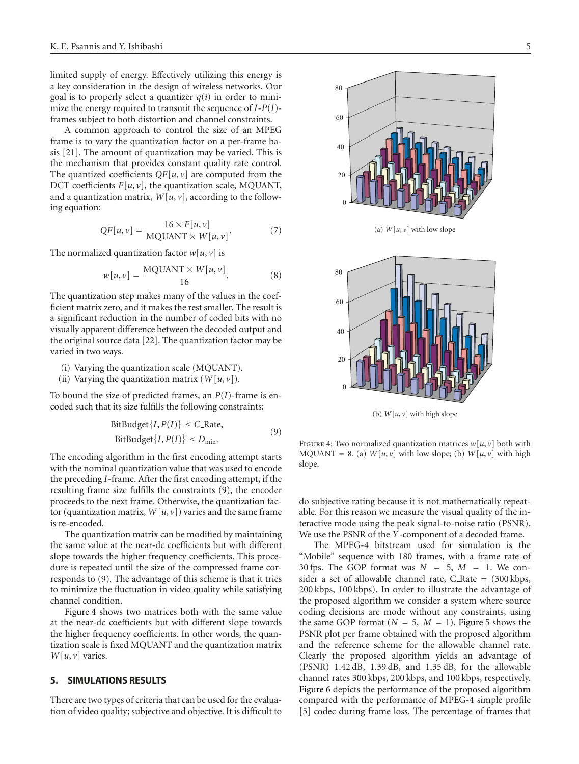limited supply of energy. Effectively utilizing this energy is a key consideration in the design of wireless networks. Our goal is to properly select a quantizer  $q(i)$  in order to minimize the energy required to transmit the sequence of *I*-*P*(*I*) frames subject to both distortion and channel constraints.

A common approach to control the size of an MPEG frame is to vary the quantization factor on a per-frame basis [\[21\]](#page-6-8). The amount of quantization may be varied. This is the mechanism that provides constant quality rate control. The quantized coefficients  $QF[u, v]$  are computed from the DCT coefficients  $F[u, v]$ , the quantization scale, MQUANT, and a quantization matrix,  $W[u, v]$ , according to the following equation:

$$
QF[u,v] = \frac{16 \times F[u,v]}{MQUANT \times W[u,v]}.
$$
 (7)

The normalized quantization factor  $w[u, v]$  is

$$
w[u, v] = \frac{MQUANT \times W[u, v]}{16}.
$$
 (8)

The quantization step makes many of the values in the coefficient matrix zero, and it makes the rest smaller. The result is a significant reduction in the number of coded bits with no visually apparent difference between the decoded output and the original source data [\[22](#page-6-9)]. The quantization factor may be varied in two ways.

- (i) Varying the quantization scale (MQUANT).
- (ii) Varying the quantization matrix  $(W[u, v])$ .

To bound the size of predicted frames, an *P*(*I*)-frame is encoded such that its size fulfills the following constraints:

<span id="page-4-1"></span>
$$
BitBudget\{I, P(I)\} \le C_Rate,
$$
  
\n
$$
BitBudget\{I, P(I)\} \le D_{min}.
$$
 (9)

The encoding algorithm in the first encoding attempt starts with the nominal quantization value that was used to encode the preceding *I*-frame. After the first encoding attempt, if the resulting frame size fulfills the constraints [\(9\)](#page-4-1), the encoder proceeds to the next frame. Otherwise, the quantization factor (quantization matrix,  $W[u, v]$ ) varies and the same frame is re-encoded.

The quantization matrix can be modified by maintaining the same value at the near-dc coefficients but with different slope towards the higher frequency coefficients. This procedure is repeated until the size of the compressed frame corresponds to [\(9\)](#page-4-1). The advantage of this scheme is that it tries to minimize the fluctuation in video quality while satisfying channel condition.

[Figure 4](#page-4-2) shows two matrices both with the same value at the near-dc coefficients but with different slope towards the higher frequency coefficients. In other words, the quantization scale is fixed MQUANT and the quantization matrix  $W[u, v]$  varies.

#### <span id="page-4-0"></span>**5. SIMULATIONS RESULTS**

There are two types of criteria that can be used for the evaluation of video quality; subjective and objective. It is difficult to



(a)  $W[u, v]$  with low slope



(b)  $W[u, v]$  with high slope

<span id="page-4-2"></span>FIGURE 4: Two normalized quantization matrices  $w[u, v]$  both with MQUANT = 8. (a)  $W[u, v]$  with low slope; (b)  $W[u, v]$  with high slope.

do subjective rating because it is not mathematically repeatable. For this reason we measure the visual quality of the interactive mode using the peak signal-to-noise ratio (PSNR). We use the PSNR of the *Y*-component of a decoded frame.

The MPEG-4 bitstream used for simulation is the "Mobile" sequence with 180 frames, with a frame rate of 30 fps. The GOP format was  $N = 5$ ,  $M = 1$ . We consider a set of allowable channel rate,  $C$  Rate = (300 kbps, 200 kbps, 100 kbps). In order to illustrate the advantage of the proposed algorithm we consider a system where source coding decisions are mode without any constraints, using the same GOP format ( $N = 5$ ,  $M = 1$ ). [Figure 5](#page-5-14) shows the PSNR plot per frame obtained with the proposed algorithm and the reference scheme for the allowable channel rate. Clearly the proposed algorithm yields an advantage of (PSNR) 1.42 dB, 1.39 dB, and 1.35 dB, for the allowable channel rates 300 kbps, 200 kbps, and 100 kbps, respectively. [Figure 6](#page-5-15) depicts the performance of the proposed algorithm compared with the performance of MPEG-4 simple profile [\[5\]](#page-5-5) codec during frame loss. The percentage of frames that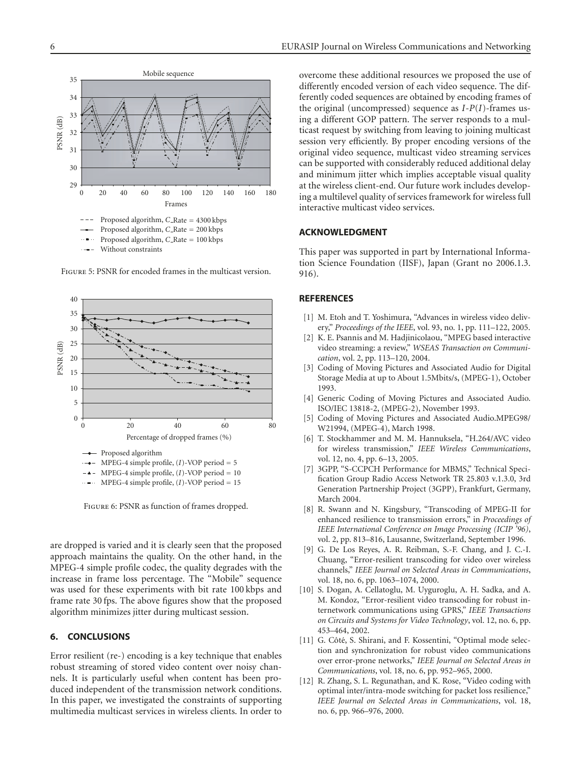

Proposed algorithm, *<sup>C</sup>* Rate <sup>=</sup> 200 kbps

Proposed algorithm, *<sup>C</sup>* Rate <sup>=</sup> 100 kbps

Without constraints

Figure 5: PSNR for encoded frames in the multicast version.

<span id="page-5-14"></span>

Figure 6: PSNR as function of frames dropped.

<span id="page-5-15"></span>are dropped is varied and it is clearly seen that the proposed approach maintains the quality. On the other hand, in the MPEG-4 simple profile codec, the quality degrades with the increase in frame loss percentage. The "Mobile" sequence was used for these experiments with bit rate 100 kbps and frame rate 30 fps. The above figures show that the proposed algorithm minimizes jitter during multicast session.

## <span id="page-5-13"></span>**6. CONCLUSIONS**

Error resilient (re-) encoding is a key technique that enables robust streaming of stored video content over noisy channels. It is particularly useful when content has been produced independent of the transmission network conditions. In this paper, we investigated the constraints of supporting multimedia multicast services in wireless clients. In order to

overcome these additional resources we proposed the use of differently encoded version of each video sequence. The differently coded sequences are obtained by encoding frames of the original (uncompressed) sequence as *I*-*P*(*I*)-frames using a different GOP pattern. The server responds to a multicast request by switching from leaving to joining multicast session very efficiently. By proper encoding versions of the original video sequence, multicast video streaming services can be supported with considerably reduced additional delay and minimum jitter which implies acceptable visual quality at the wireless client-end. Our future work includes developing a multilevel quality of services framework for wireless full interactive multicast video services.

### **ACKNOWLEDGMENT**

This paper was supported in part by International Information Science Foundation (IISF), Japan (Grant no 2006.1.3. 916).

# <span id="page-5-1"></span><span id="page-5-0"></span>**REFERENCES**

- [1] M. Etoh and T. Yoshimura, "Advances in wireless video delivery," *Proceedings of the IEEE*, vol. 93, no. 1, pp. 111–122, 2005.
- <span id="page-5-2"></span>[2] K. E. Psannis and M. Hadjinicolaou, "MPEG based interactive video streaming: a review," *WSEAS Transaction on Communication*, vol. 2, pp. 113–120, 2004.
- <span id="page-5-3"></span>[3] Coding of Moving Pictures and Associated Audio for Digital Storage Media at up to About 1.5Mbits/s, (MPEG-1), October 1993.
- <span id="page-5-9"></span>[4] Generic Coding of Moving Pictures and Associated Audio. ISO/IEC 13818-2, (MPEG-2), November 1993.
- <span id="page-5-5"></span>[5] Coding of Moving Pictures and Associated Audio.MPEG98/ W21994, (MPEG-4), March 1998.
- <span id="page-5-4"></span>[6] T. Stockhammer and M. M. Hannuksela, "H.264/AVC video for wireless transmission," *IEEE Wireless Communications*, vol. 12, no. 4, pp. 6–13, 2005.
- <span id="page-5-6"></span>[7] 3GPP, "S-CCPCH Performance for MBMS," Technical Specification Group Radio Access Network TR 25.803 v.1.3.0, 3rd Generation Partnership Project (3GPP), Frankfurt, Germany, March 2004.
- <span id="page-5-7"></span>[8] R. Swann and N. Kingsbury, "Transcoding of MPEG-II for enhanced resilience to transmission errors," in *Proceedings of IEEE International Conference on Image Processing (ICIP '96)*, vol. 2, pp. 813–816, Lausanne, Switzerland, September 1996.
- <span id="page-5-8"></span>[9] G. De Los Reyes, A. R. Reibman, S.-F. Chang, and J. C.-I. Chuang, "Error-resilient transcoding for video over wireless channels," *IEEE Journal on Selected Areas in Communications*, vol. 18, no. 6, pp. 1063–1074, 2000.
- <span id="page-5-10"></span>[10] S. Dogan, A. Cellatoglu, M. Uyguroglu, A. H. Sadka, and A. M. Kondoz, "Error-resilient video transcoding for robust internetwork communications using GPRS," *IEEE Transactions on Circuits and Systems for Video Technology*, vol. 12, no. 6, pp. 453–464, 2002.
- <span id="page-5-11"></span>[11] G. Côté, S. Shirani, and F. Kossentini, "Optimal mode selection and synchronization for robust video communications over error-prone networks," *IEEE Journal on Selected Areas in Communications*, vol. 18, no. 6, pp. 952–965, 2000.
- <span id="page-5-12"></span>[12] R. Zhang, S. L. Regunathan, and K. Rose, "Video coding with optimal inter/intra-mode switching for packet loss resilience," *IEEE Journal on Selected Areas in Communications*, vol. 18, no. 6, pp. 966–976, 2000.